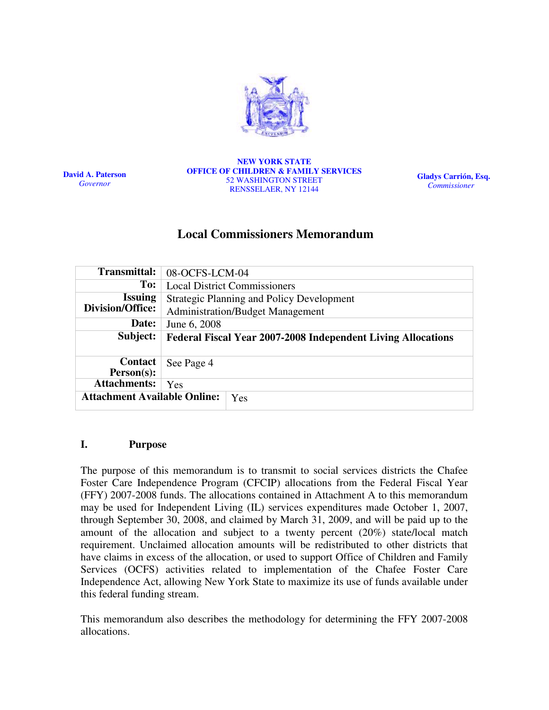

David A. Paterson Governor

NEW YORK STATE OFFICE OF CHILDREN & FAMILY SERVICES 52 WASHINGTON STREET RENSSELAER, NY 12144

Gladys Carrión, Esq. Commissioner

# Local Commissioners Memorandum

| <b>Transmittal:</b>                 | 08-OCFS-LCM-04                                                      |  |  |  |
|-------------------------------------|---------------------------------------------------------------------|--|--|--|
| To:                                 | <b>Local District Commissioners</b>                                 |  |  |  |
| <b>Issuing</b>                      | <b>Strategic Planning and Policy Development</b>                    |  |  |  |
| <b>Division/Office:</b>             | <b>Administration/Budget Management</b>                             |  |  |  |
| Date:                               | June 6, 2008                                                        |  |  |  |
| Subject:                            | <b>Federal Fiscal Year 2007-2008 Independent Living Allocations</b> |  |  |  |
|                                     |                                                                     |  |  |  |
| Contact                             | See Page 4                                                          |  |  |  |
| $Person(s)$ :                       |                                                                     |  |  |  |
| <b>Attachments:</b>                 | Yes                                                                 |  |  |  |
|                                     |                                                                     |  |  |  |
| <b>Attachment Available Online:</b> | Yes                                                                 |  |  |  |

#### I. Purpose

The purpose of this memorandum is to transmit to social services districts the Chafee Foster Care Independence Program (CFCIP) allocations from the Federal Fiscal Year (FFY) 2007-2008 funds. The allocations contained in Attachment A to this memorandum may be used for Independent Living (IL) services expenditures made October 1, 2007, through September 30, 2008, and claimed by March 31, 2009, and will be paid up to the amount of the allocation and subject to a twenty percent (20%) state/local match requirement. Unclaimed allocation amounts will be redistributed to other districts that have claims in excess of the allocation, or used to support Office of Children and Family Services (OCFS) activities related to implementation of the Chafee Foster Care Independence Act, allowing New York State to maximize its use of funds available under this federal funding stream.

This memorandum also describes the methodology for determining the FFY 2007-2008 allocations.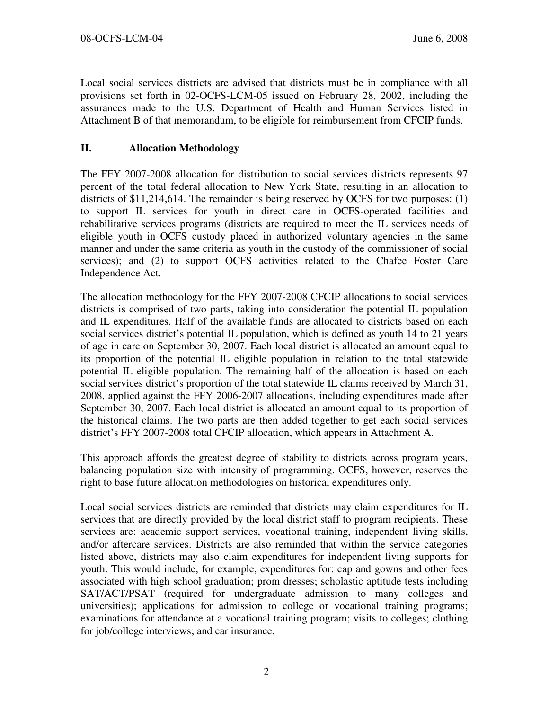Local social services districts are advised that districts must be in compliance with all provisions set forth in 02-OCFS-LCM-05 issued on February 28, 2002, including the assurances made to the U.S. Department of Health and Human Services listed in Attachment B of that memorandum, to be eligible for reimbursement from CFCIP funds.

# II. Allocation Methodology

The FFY 2007-2008 allocation for distribution to social services districts represents 97 percent of the total federal allocation to New York State, resulting in an allocation to districts of \$11,214,614. The remainder is being reserved by OCFS for two purposes: (1) to support IL services for youth in direct care in OCFS-operated facilities and rehabilitative services programs (districts are required to meet the IL services needs of eligible youth in OCFS custody placed in authorized voluntary agencies in the same manner and under the same criteria as youth in the custody of the commissioner of social services); and (2) to support OCFS activities related to the Chafee Foster Care Independence Act.

The allocation methodology for the FFY 2007-2008 CFCIP allocations to social services districts is comprised of two parts, taking into consideration the potential IL population and IL expenditures. Half of the available funds are allocated to districts based on each social services district's potential IL population, which is defined as youth 14 to 21 years of age in care on September 30, 2007. Each local district is allocated an amount equal to its proportion of the potential IL eligible population in relation to the total statewide potential IL eligible population. The remaining half of the allocation is based on each social services district's proportion of the total statewide IL claims received by March 31, 2008, applied against the FFY 2006-2007 allocations, including expenditures made after September 30, 2007. Each local district is allocated an amount equal to its proportion of the historical claims. The two parts are then added together to get each social services district's FFY 2007-2008 total CFCIP allocation, which appears in Attachment A.

This approach affords the greatest degree of stability to districts across program years, balancing population size with intensity of programming. OCFS, however, reserves the right to base future allocation methodologies on historical expenditures only.

Local social services districts are reminded that districts may claim expenditures for IL services that are directly provided by the local district staff to program recipients. These services are: academic support services, vocational training, independent living skills, and/or aftercare services. Districts are also reminded that within the service categories listed above, districts may also claim expenditures for independent living supports for youth. This would include, for example, expenditures for: cap and gowns and other fees associated with high school graduation; prom dresses; scholastic aptitude tests including SAT/ACT/PSAT (required for undergraduate admission to many colleges and universities); applications for admission to college or vocational training programs; examinations for attendance at a vocational training program; visits to colleges; clothing for job/college interviews; and car insurance.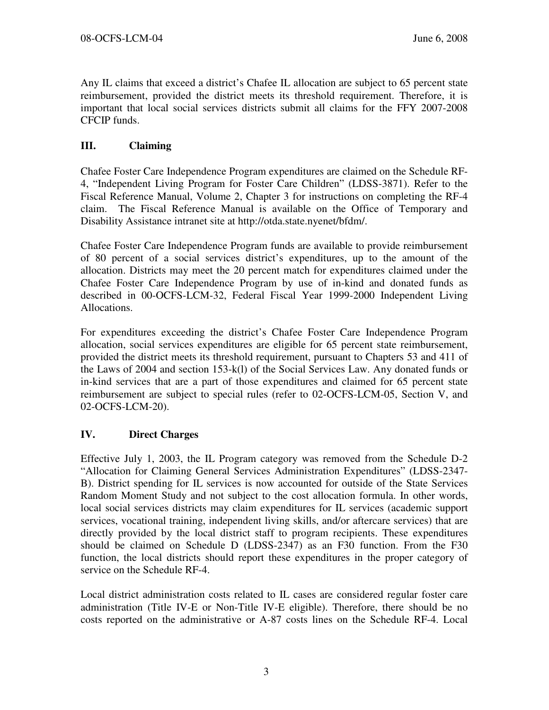Any IL claims that exceed a district's Chafee IL allocation are subject to 65 percent state reimbursement, provided the district meets its threshold requirement. Therefore, it is important that local social services districts submit all claims for the FFY 2007-2008 CFCIP funds.

## III. Claiming

Chafee Foster Care Independence Program expenditures are claimed on the Schedule RF-4, "Independent Living Program for Foster Care Children" (LDSS-3871). Refer to the Fiscal Reference Manual, Volume 2, Chapter 3 for instructions on completing the RF-4 claim. The Fiscal Reference Manual is available on the Office of Temporary and Disability Assistance intranet site at http://otda.state.nyenet/bfdm/.

Chafee Foster Care Independence Program funds are available to provide reimbursement of 80 percent of a social services district's expenditures, up to the amount of the allocation. Districts may meet the 20 percent match for expenditures claimed under the Chafee Foster Care Independence Program by use of in-kind and donated funds as described in 00-OCFS-LCM-32, Federal Fiscal Year 1999-2000 Independent Living Allocations.

For expenditures exceeding the district's Chafee Foster Care Independence Program allocation, social services expenditures are eligible for 65 percent state reimbursement, provided the district meets its threshold requirement, pursuant to Chapters 53 and 411 of the Laws of 2004 and section 153-k(l) of the Social Services Law. Any donated funds or in-kind services that are a part of those expenditures and claimed for 65 percent state reimbursement are subject to special rules (refer to 02-OCFS-LCM-05, Section V, and 02-OCFS-LCM-20).

### IV. Direct Charges

Effective July 1, 2003, the IL Program category was removed from the Schedule D-2 "Allocation for Claiming General Services Administration Expenditures" (LDSS-2347- B). District spending for IL services is now accounted for outside of the State Services Random Moment Study and not subject to the cost allocation formula. In other words, local social services districts may claim expenditures for IL services (academic support services, vocational training, independent living skills, and/or aftercare services) that are directly provided by the local district staff to program recipients. These expenditures should be claimed on Schedule D (LDSS-2347) as an F30 function. From the F30 function, the local districts should report these expenditures in the proper category of service on the Schedule RF-4.

Local district administration costs related to IL cases are considered regular foster care administration (Title IV-E or Non-Title IV-E eligible). Therefore, there should be no costs reported on the administrative or A-87 costs lines on the Schedule RF-4. Local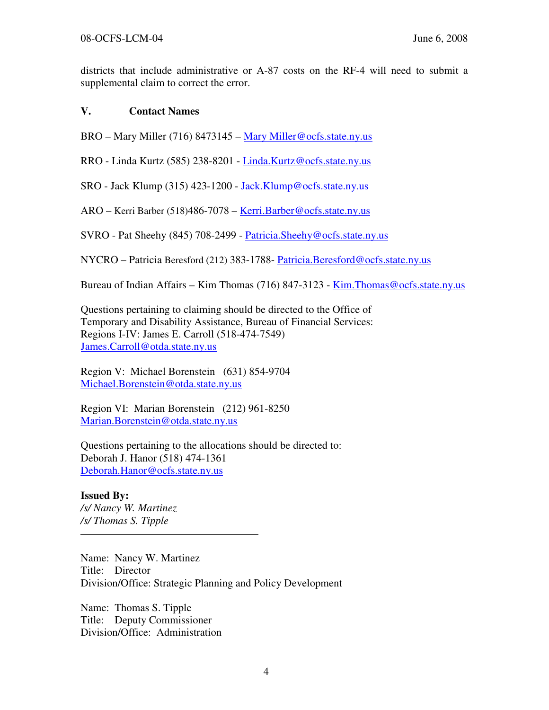districts that include administrative or A-87 costs on the RF-4 will need to submit a supplemental claim to correct the error.

## V. Contact Names

BRO – Mary Miller (716) 8473145 – Mary Miller@ocfs.state.ny.us

RRO - Linda Kurtz (585) 238-8201 - Linda.Kurtz@ocfs.state.ny.us

SRO - Jack Klump (315) 423-1200 - Jack.Klump@ocfs.state.ny.us

ARO – Kerri Barber (518)486-7078 – Kerri.Barber@ocfs.state.ny.us

SVRO - Pat Sheehy (845) 708-2499 - Patricia.Sheehy@ocfs.state.ny.us

NYCRO – Patricia Beresford (212) 383-1788- Patricia.Beresford@ocfs.state.ny.us

Bureau of Indian Affairs – Kim Thomas (716) 847-3123 - Kim. Thomas @ocfs.state.ny.us

Questions pertaining to claiming should be directed to the Office of Temporary and Disability Assistance, Bureau of Financial Services: Regions I-IV: James E. Carroll (518-474-7549) James.Carroll@otda.state.ny.us

Region V: Michael Borenstein (631) 854-9704 Michael.Borenstein@otda.state.ny.us

Region VI: Marian Borenstein (212) 961-8250 Marian.Borenstein@otda.state.ny.us

Questions pertaining to the allocations should be directed to: Deborah J. Hanor (518) 474-1361 Deborah.Hanor@ocfs.state.ny.us

Issued By: /s/ Nancy W. Martinez /s/ Thomas S. Tipple

Name: Nancy W. Martinez Title: Director Division/Office: Strategic Planning and Policy Development

Name: Thomas S. Tipple Title: Deputy Commissioner Division/Office: Administration